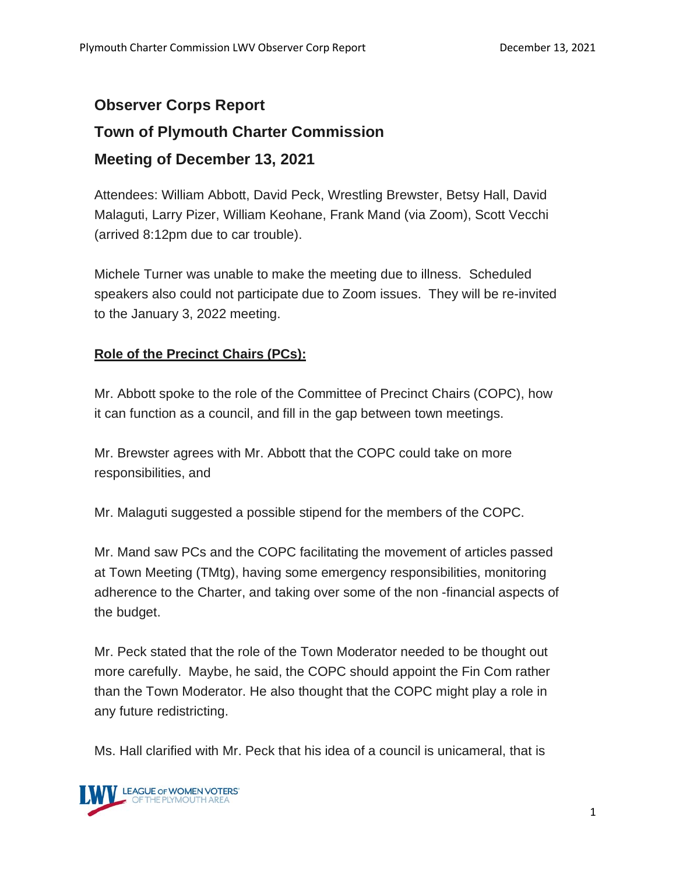# **Observer Corps Report Town of Plymouth Charter Commission Meeting of December 13, 2021**

Attendees: William Abbott, David Peck, Wrestling Brewster, Betsy Hall, David Malaguti, Larry Pizer, William Keohane, Frank Mand (via Zoom), Scott Vecchi (arrived 8:12pm due to car trouble).

Michele Turner was unable to make the meeting due to illness. Scheduled speakers also could not participate due to Zoom issues. They will be re-invited to the January 3, 2022 meeting.

# **Role of the Precinct Chairs (PCs):**

Mr. Abbott spoke to the role of the Committee of Precinct Chairs (COPC), how it can function as a council, and fill in the gap between town meetings.

Mr. Brewster agrees with Mr. Abbott that the COPC could take on more responsibilities, and

Mr. Malaguti suggested a possible stipend for the members of the COPC.

Mr. Mand saw PCs and the COPC facilitating the movement of articles passed at Town Meeting (TMtg), having some emergency responsibilities, monitoring adherence to the Charter, and taking over some of the non -financial aspects of the budget.

Mr. Peck stated that the role of the Town Moderator needed to be thought out more carefully. Maybe, he said, the COPC should appoint the Fin Com rather than the Town Moderator. He also thought that the COPC might play a role in any future redistricting.

Ms. Hall clarified with Mr. Peck that his idea of a council is unicameral, that is

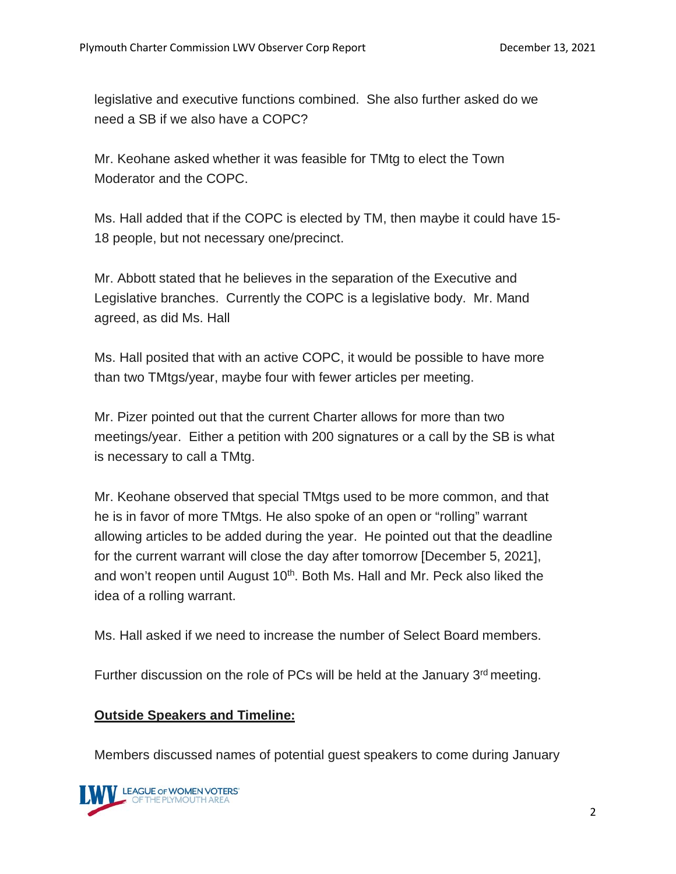legislative and executive functions combined. She also further asked do we need a SB if we also have a COPC?

Mr. Keohane asked whether it was feasible for TMtg to elect the Town Moderator and the COPC.

Ms. Hall added that if the COPC is elected by TM, then maybe it could have 15- 18 people, but not necessary one/precinct.

Mr. Abbott stated that he believes in the separation of the Executive and Legislative branches. Currently the COPC is a legislative body. Mr. Mand agreed, as did Ms. Hall

Ms. Hall posited that with an active COPC, it would be possible to have more than two TMtgs/year, maybe four with fewer articles per meeting.

Mr. Pizer pointed out that the current Charter allows for more than two meetings/year. Either a petition with 200 signatures or a call by the SB is what is necessary to call a TMtg.

Mr. Keohane observed that special TMtgs used to be more common, and that he is in favor of more TMtgs. He also spoke of an open or "rolling" warrant allowing articles to be added during the year. He pointed out that the deadline for the current warrant will close the day after tomorrow [December 5, 2021], and won't reopen until August 10<sup>th</sup>. Both Ms. Hall and Mr. Peck also liked the idea of a rolling warrant.

Ms. Hall asked if we need to increase the number of Select Board members.

Further discussion on the role of PCs will be held at the January  $3<sup>rd</sup>$  meeting.

## **Outside Speakers and Timeline:**

Members discussed names of potential guest speakers to come during January

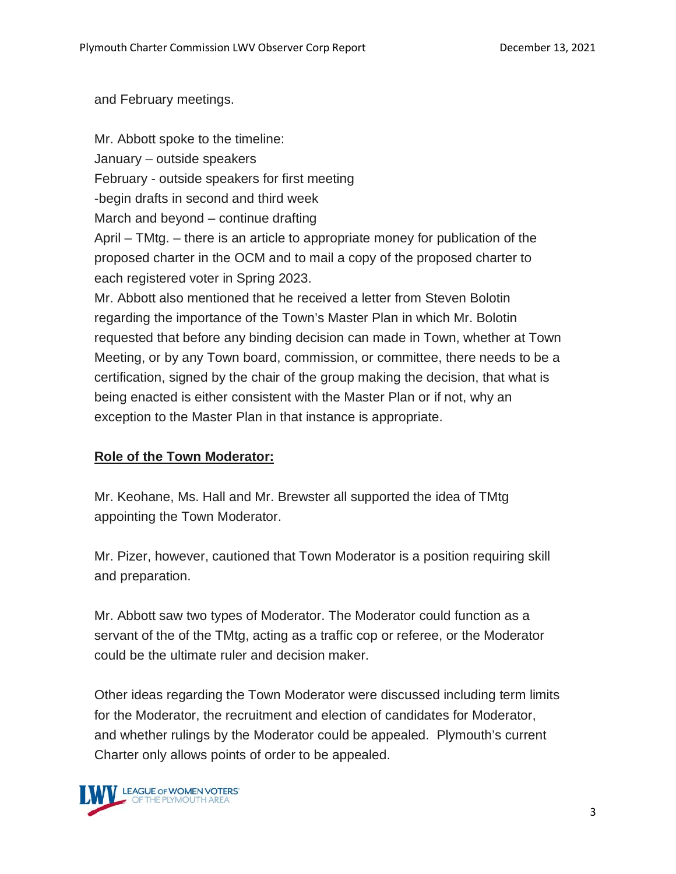and February meetings.

Mr. Abbott spoke to the timeline: January – outside speakers February - outside speakers for first meeting -begin drafts in second and third week March and beyond – continue drafting April – TMtg. – there is an article to appropriate money for publication of the proposed charter in the OCM and to mail a copy of the proposed charter to each registered voter in Spring 2023. Mr. Abbott also mentioned that he received a letter from Steven Bolotin regarding the importance of the Town's Master Plan in which Mr. Bolotin requested that before any binding decision can made in Town, whether at Town Meeting, or by any Town board, commission, or committee, there needs to be a certification, signed by the chair of the group making the decision, that what is being enacted is either consistent with the Master Plan or if not, why an exception to the Master Plan in that instance is appropriate.

## **Role of the Town Moderator:**

Mr. Keohane, Ms. Hall and Mr. Brewster all supported the idea of TMtg appointing the Town Moderator.

Mr. Pizer, however, cautioned that Town Moderator is a position requiring skill and preparation.

Mr. Abbott saw two types of Moderator. The Moderator could function as a servant of the of the TMtg, acting as a traffic cop or referee, or the Moderator could be the ultimate ruler and decision maker.

Other ideas regarding the Town Moderator were discussed including term limits for the Moderator, the recruitment and election of candidates for Moderator, and whether rulings by the Moderator could be appealed. Plymouth's current Charter only allows points of order to be appealed.

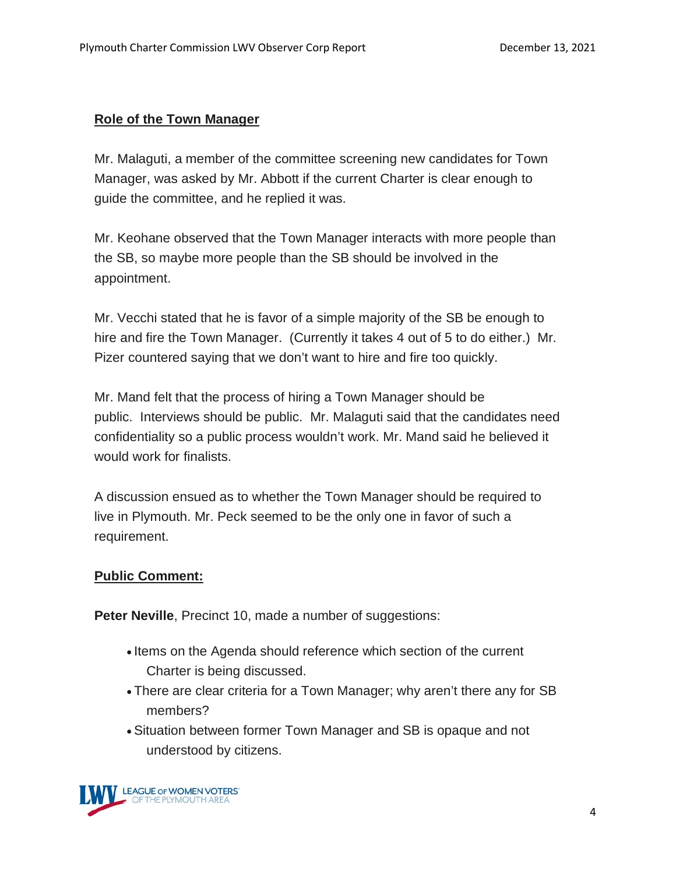## **Role of the Town Manager**

Mr. Malaguti, a member of the committee screening new candidates for Town Manager, was asked by Mr. Abbott if the current Charter is clear enough to guide the committee, and he replied it was.

Mr. Keohane observed that the Town Manager interacts with more people than the SB, so maybe more people than the SB should be involved in the appointment.

Mr. Vecchi stated that he is favor of a simple majority of the SB be enough to hire and fire the Town Manager. (Currently it takes 4 out of 5 to do either.) Mr. Pizer countered saying that we don't want to hire and fire too quickly.

Mr. Mand felt that the process of hiring a Town Manager should be public. Interviews should be public. Mr. Malaguti said that the candidates need confidentiality so a public process wouldn't work. Mr. Mand said he believed it would work for finalists.

A discussion ensued as to whether the Town Manager should be required to live in Plymouth. Mr. Peck seemed to be the only one in favor of such a requirement.

#### **Public Comment:**

**Peter Neville, Precinct 10, made a number of suggestions:** 

- Items on the Agenda should reference which section of the current Charter is being discussed.
- There are clear criteria for a Town Manager; why aren't there any for SB members?
- Situation between former Town Manager and SB is opaque and not understood by citizens.

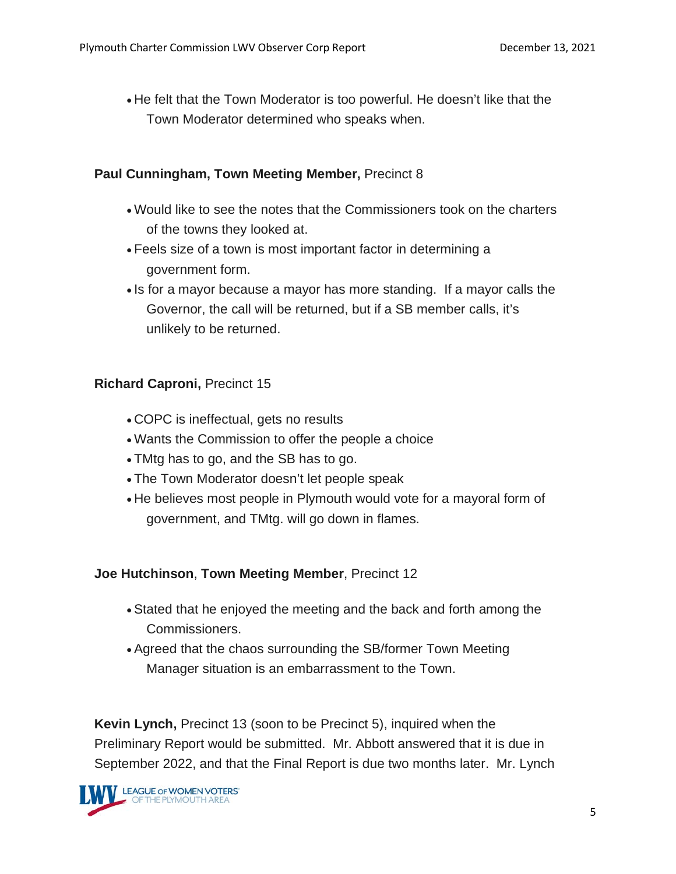• He felt that the Town Moderator is too powerful. He doesn't like that the Town Moderator determined who speaks when.

#### **Paul Cunningham, Town Meeting Member,** Precinct 8

- Would like to see the notes that the Commissioners took on the charters of the towns they looked at.
- Feels size of a town is most important factor in determining a government form.
- Is for a mayor because a mayor has more standing. If a mayor calls the Governor, the call will be returned, but if a SB member calls, it's unlikely to be returned.

## **Richard Caproni,** Precinct 15

- COPC is ineffectual, gets no results
- Wants the Commission to offer the people a choice
- TMtg has to go, and the SB has to go.
- The Town Moderator doesn't let people speak
- He believes most people in Plymouth would vote for a mayoral form of government, and TMtg. will go down in flames.

## **Joe Hutchinson**, **Town Meeting Member**, Precinct 12

- Stated that he enjoyed the meeting and the back and forth among the Commissioners.
- Agreed that the chaos surrounding the SB/former Town Meeting Manager situation is an embarrassment to the Town.

**Kevin Lynch,** Precinct 13 (soon to be Precinct 5), inquired when the Preliminary Report would be submitted. Mr. Abbott answered that it is due in September 2022, and that the Final Report is due two months later. Mr. Lynch